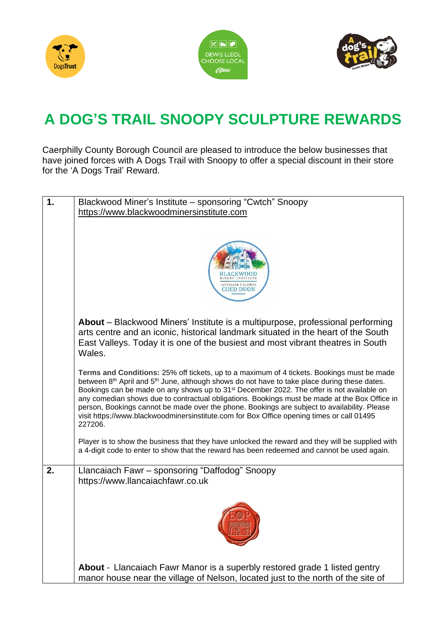





## **A DOG'S TRAIL SNOOPY SCULPTURE REWARDS**

Caerphilly County Borough Council are pleased to introduce the below businesses that have joined forces with A Dogs Trail with Snoopy to offer a special discount in their store for the 'A Dogs Trail' Reward.

| 1. | Blackwood Miner's Institute – sponsoring "Cwtch" Snoopy                                                                                                                                                            |
|----|--------------------------------------------------------------------------------------------------------------------------------------------------------------------------------------------------------------------|
|    | https://www.blackwoodminersinstitute.com                                                                                                                                                                           |
|    |                                                                                                                                                                                                                    |
|    |                                                                                                                                                                                                                    |
|    |                                                                                                                                                                                                                    |
|    |                                                                                                                                                                                                                    |
|    |                                                                                                                                                                                                                    |
|    |                                                                                                                                                                                                                    |
|    |                                                                                                                                                                                                                    |
|    | <b>EFYDLIAD Y GLOWYR</b><br>COED DUON                                                                                                                                                                              |
|    |                                                                                                                                                                                                                    |
|    |                                                                                                                                                                                                                    |
|    | About – Blackwood Miners' Institute is a multipurpose, professional performing                                                                                                                                     |
|    | arts centre and an iconic, historical landmark situated in the heart of the South                                                                                                                                  |
|    |                                                                                                                                                                                                                    |
|    | East Valleys. Today it is one of the busiest and most vibrant theatres in South                                                                                                                                    |
|    | Wales.                                                                                                                                                                                                             |
|    |                                                                                                                                                                                                                    |
|    | Terms and Conditions: 25% off tickets, up to a maximum of 4 tickets. Bookings must be made<br>between 8 <sup>th</sup> April and 5 <sup>th</sup> June, although shows do not have to take place during these dates. |
|    | Bookings can be made on any shows up to 31 <sup>st</sup> December 2022. The offer is not available on                                                                                                              |
|    | any comedian shows due to contractual obligations. Bookings must be made at the Box Office in                                                                                                                      |
|    | person, Bookings cannot be made over the phone. Bookings are subject to availability. Please                                                                                                                       |
|    | visit https://www.blackwoodminersinstitute.com for Box Office opening times or call 01495                                                                                                                          |
|    | 227206.                                                                                                                                                                                                            |
|    |                                                                                                                                                                                                                    |
|    | Player is to show the business that they have unlocked the reward and they will be supplied with<br>a 4-digit code to enter to show that the reward has been redeemed and cannot be used again.                    |
|    |                                                                                                                                                                                                                    |
| 2. | Llancaiach Fawr - sponsoring "Daffodog" Snoopy                                                                                                                                                                     |
|    | https://www.llancaiachfawr.co.uk                                                                                                                                                                                   |
|    |                                                                                                                                                                                                                    |
|    |                                                                                                                                                                                                                    |
|    |                                                                                                                                                                                                                    |
|    |                                                                                                                                                                                                                    |
|    |                                                                                                                                                                                                                    |
|    |                                                                                                                                                                                                                    |
|    |                                                                                                                                                                                                                    |
|    |                                                                                                                                                                                                                    |
|    | About - Llancaiach Fawr Manor is a superbly restored grade 1 listed gentry                                                                                                                                         |
|    | manor house near the village of Nelson, located just to the north of the site of                                                                                                                                   |
|    |                                                                                                                                                                                                                    |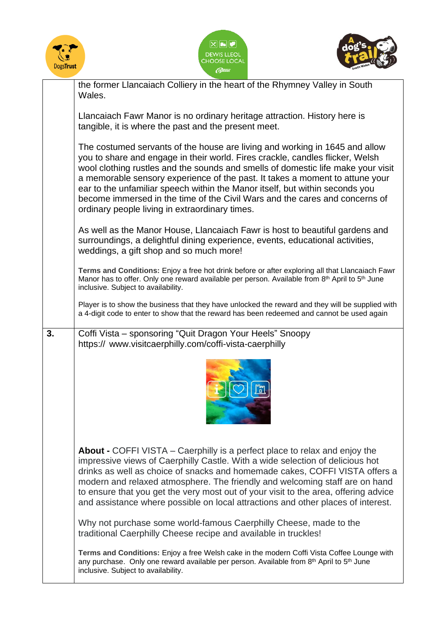





the former Llancaiach Colliery in the heart of the Rhymney Valley in South Wales. Llancaiach Fawr Manor is no ordinary heritage attraction. History here is tangible, it is where the past and the present meet. The costumed servants of the house are living and working in 1645 and allow you to share and engage in their world. Fires crackle, candles flicker, Welsh wool clothing rustles and the sounds and smells of domestic life make your visit a memorable sensory experience of the past. It takes a moment to attune your ear to the unfamiliar speech within the Manor itself, but within seconds you become immersed in the time of the Civil Wars and the cares and concerns of ordinary people living in extraordinary times. As well as the Manor House, Llancaiach Fawr is host to beautiful gardens and surroundings, a delightful dining experience, events, educational activities, weddings, a gift shop and so much more! **Terms and Conditions:** Enjoy a free hot drink before or after exploring all that Llancaiach Fawr Manor has to offer. Only one reward available per person. Available from 8<sup>th</sup> April to 5<sup>th</sup> June inclusive. Subject to availability. Player is to show the business that they have unlocked the reward and they will be supplied with a 4-digit code to enter to show that the reward has been redeemed and cannot be used again **3.** Coffi Vista – sponsoring "Quit Dragon Your Heels" Snoopy https:// www.visitcaerphilly.com/coffi-vista-caerphilly **About -** COFFI VISTA – Caerphilly is a perfect place to relax and enjoy the impressive views of Caerphilly Castle. With a wide selection of delicious hot drinks as well as choice of snacks and homemade cakes, COFFI VISTA offers a modern and relaxed atmosphere. The friendly and welcoming staff are on hand to ensure that you get the very most out of your visit to the area, offering advice and assistance where possible on local attractions and other places of interest. Why not purchase some world-famous Caerphilly Cheese, made to the traditional Caerphilly Cheese recipe and available in truckles! **Terms and Conditions:** Enjoy a free Welsh cake in the modern Coffi Vista Coffee Lounge with any purchase. Only one reward available per person. Available from 8<sup>th</sup> April to 5<sup>th</sup> June inclusive. Subject to availability.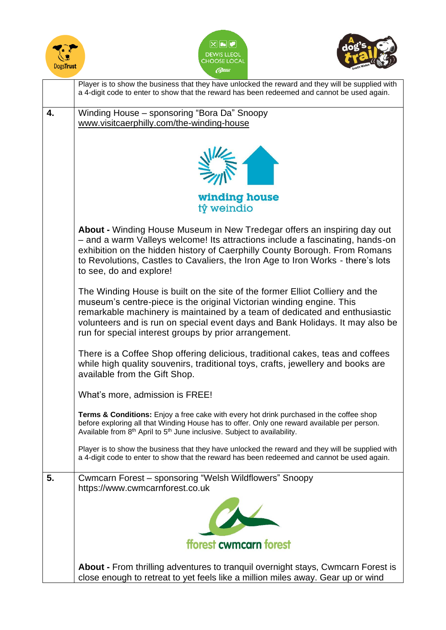





|    | Player is to show the business that they have unlocked the reward and they will be supplied with<br>a 4-digit code to enter to show that the reward has been redeemed and cannot be used again.                                                                                                                                                                              |
|----|------------------------------------------------------------------------------------------------------------------------------------------------------------------------------------------------------------------------------------------------------------------------------------------------------------------------------------------------------------------------------|
| 4. | Winding House - sponsoring "Bora Da" Snoopy<br>www.visitcaerphilly.com/the-winding-house                                                                                                                                                                                                                                                                                     |
|    |                                                                                                                                                                                                                                                                                                                                                                              |
|    | winding house<br>tŷ weindio                                                                                                                                                                                                                                                                                                                                                  |
|    | About - Winding House Museum in New Tredegar offers an inspiring day out<br>- and a warm Valleys welcome! Its attractions include a fascinating, hands-on<br>exhibition on the hidden history of Caerphilly County Borough. From Romans<br>to Revolutions, Castles to Cavaliers, the Iron Age to Iron Works - there's lots<br>to see, do and explore!                        |
|    | The Winding House is built on the site of the former Elliot Colliery and the<br>museum's centre-piece is the original Victorian winding engine. This<br>remarkable machinery is maintained by a team of dedicated and enthusiastic<br>volunteers and is run on special event days and Bank Holidays. It may also be<br>run for special interest groups by prior arrangement. |
|    | There is a Coffee Shop offering delicious, traditional cakes, teas and coffees<br>while high quality souvenirs, traditional toys, crafts, jewellery and books are<br>available from the Gift Shop.                                                                                                                                                                           |
|    | What's more, admission is FREE!                                                                                                                                                                                                                                                                                                                                              |
|    | <b>Terms &amp; Conditions:</b> Enjoy a free cake with every hot drink purchased in the coffee shop<br>before exploring all that Winding House has to offer. Only one reward available per person.<br>Available from 8 <sup>th</sup> April to 5 <sup>th</sup> June inclusive. Subject to availability.                                                                        |
|    | Player is to show the business that they have unlocked the reward and they will be supplied with<br>a 4-digit code to enter to show that the reward has been redeemed and cannot be used again.                                                                                                                                                                              |
| 5. | Cwmcarn Forest - sponsoring "Welsh Wildflowers" Snoopy<br>https://www.cwmcarnforest.co.uk                                                                                                                                                                                                                                                                                    |
|    | $\alpha$                                                                                                                                                                                                                                                                                                                                                                     |
|    | fforest cwmcarn forest                                                                                                                                                                                                                                                                                                                                                       |
|    | About - From thrilling adventures to tranquil overnight stays, Cwmcarn Forest is<br>close enough to retreat to yet feels like a million miles away. Gear up or wind                                                                                                                                                                                                          |